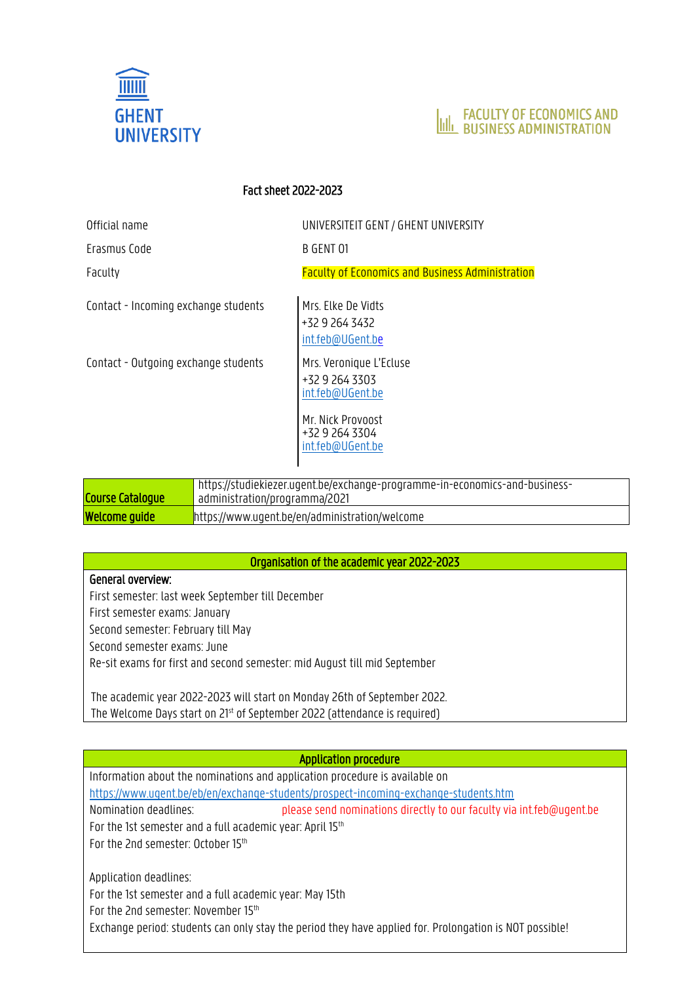



# Fact sheet 2022-2023

Official name UNIVERSITEIT GENT / GHENT UNIVERSITY

Erasmus Code B GENT 01

Faculty Faculty of Economics and Business Administration

Contact - Incoming exchange students Mrs. Elke De Vidts

+32 9 264 3432 [int.feb@UGent.be](mailto:int.feb@UGent.b)

+32 9 264 3303 [int.feb@UGent.be](mailto:int.feb@UGent.be)

Mr. Nick Provoost +32 9 264 3304 [int.feb@UGent.be](mailto:int.feb@UGent.be)

Contact - Outgoing exchange students Mrs. Veronique L'Ecluse

Course Catalogue https://studiekiezer.ugent.be/exchange-programme-in-economics-and-businessadministration/programma/2021 **Welcome guide https://www.ugent.be/en/administration/welcome** 

# Organisation of the academic year 2022-2023

# General overview:

First semester: last week September till December First semester exams: January Second semester: February till May Second semester exams: June Re-sit exams for first and second semester: mid August till mid September

The academic year 2022-2023 will start on Monday 26th of September 2022. The Welcome Days start on 21<sup>st</sup> of September 2022 (attendance is required)

# Application procedure

Information about the nominations and application procedure is available on <https://www.ugent.be/eb/en/exchange-students/prospect-incoming-exchange-students.htm> Nomination deadlines: please send nominations directly to our faculty via int.feb@ugent.be For the 1st semester and a full academic year: April 15<sup>th</sup> For the 2nd semester: October 15<sup>th</sup> Application deadlines:

For the 1st semester and a full academic year: May 15th For the 2nd semester: November 15<sup>th</sup> Exchange period: students can only stay the period they have applied for. Prolongation is NOT possible!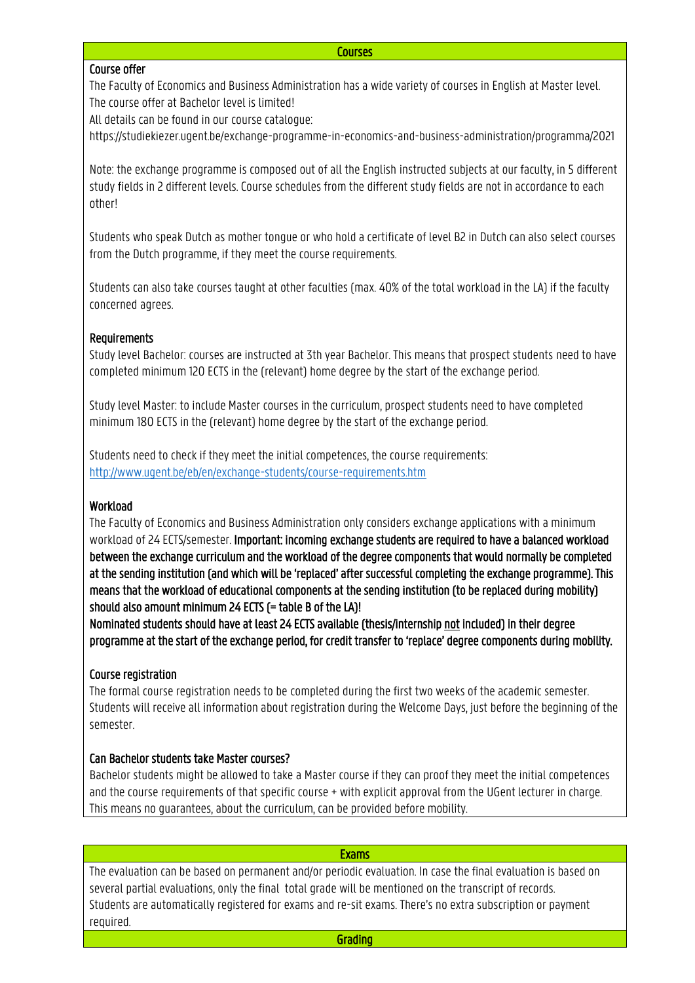# Course offer

The Faculty of Economics and Business Administration has a wide variety of courses in English at Master level. The course offer at Bachelor level is limited!

All details can be found in our course catalogue:

https://studiekiezer.ugent.be/exchange-programme-in-economics-and-business-administration/programma/2021

Note: the exchange programme is composed out of all the English instructed subjects at our faculty, in 5 different study fields in 2 different levels. Course schedules from the different study fields are not in accordance to each other!

Students who speak Dutch as mother tongue or who hold a certificate of level B2 in Dutch can also select courses from the Dutch programme, if they meet the course requirements.

Students can also take courses taught at other faculties (max. 40% of the total workload in the LA) if the faculty concerned agrees.

## Requirements

Study level Bachelor: courses are instructed at 3th year Bachelor. This means that prospect students need to have completed minimum 120 ECTS in the (relevant) home degree by the start of the exchange period.

Study level Master: to include Master courses in the curriculum, prospect students need to have completed minimum 180 ECTS in the (relevant) home degree by the start of the exchange period.

Students need to check if they meet the initial competences, the course requirements: <http://www.ugent.be/eb/en/exchange-students/course-requirements.htm>

# Workload

The Faculty of Economics and Business Administration only considers exchange applications with a minimum workload of 24 ECTS/semester. Important: incoming exchange students are required to have a balanced workload between the exchange curriculum and the workload of the degree components that would normally be completed at the sending institution (and which will be 'replaced' after successful completing the exchange programme). This means that the workload of educational components at the sending institution (to be replaced during mobility) should also amount minimum 24 ECTS (= table B of the LA)!

Nominated students should have at least 24 ECTS available (thesis/internship not included) in their degree programme at the start of the exchange period, for credit transfer to 'replace' degree components during mobility.

# Course registration

The formal course registration needs to be completed during the first two weeks of the academic semester. Students will receive all information about registration during the Welcome Days, just before the beginning of the semester.

### Can Bachelor students take Master courses?

Bachelor students might be allowed to take a Master course if they can proof they meet the initial competences and the course requirements of that specific course + with explicit approval from the UGent lecturer in charge. This means no guarantees, about the curriculum, can be provided before mobility.

| <b>Exams</b>                                                                                                  |  |  |
|---------------------------------------------------------------------------------------------------------------|--|--|
| The evaluation can be based on permanent and/or periodic evaluation. In case the final evaluation is based on |  |  |
| several partial evaluations, only the final total grade will be mentioned on the transcript of records.       |  |  |
| Students are automatically registered for exams and re-sit exams. There's no extra subscription or payment    |  |  |
| required.                                                                                                     |  |  |
| Grading                                                                                                       |  |  |